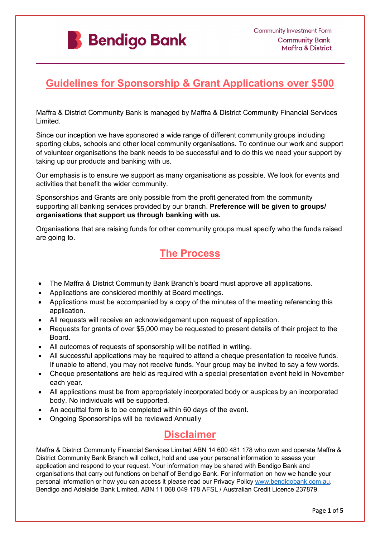

# **Guidelines for Sponsorship & Grant Applications over \$500**

Maffra & District Community Bank is managed by Maffra & District Community Financial Services Limited.

Since our inception we have sponsored a wide range of different community groups including sporting clubs, schools and other local community organisations. To continue our work and support of volunteer organisations the bank needs to be successful and to do this we need your support by taking up our products and banking with us.

Our emphasis is to ensure we support as many organisations as possible. We look for events and activities that benefit the wider community.

Sponsorships and Grants are only possible from the profit generated from the community supporting all banking services provided by our branch. **Preference will be given to groups/ organisations that support us through banking with us.** 

Organisations that are raising funds for other community groups must specify who the funds raised are going to.

# **The Process**

- The Maffra & District Community Bank Branch's board must approve all applications.
- Applications are considered monthly at Board meetings.
- Applications must be accompanied by a copy of the minutes of the meeting referencing this application.
- All requests will receive an acknowledgement upon request of application.
- Requests for grants of over \$5,000 may be requested to present details of their project to the Board.
- All outcomes of requests of sponsorship will be notified in writing.
- All successful applications may be required to attend a cheque presentation to receive funds. If unable to attend, you may not receive funds. Your group may be invited to say a few words.
- Cheque presentations are held as required with a special presentation event held in November each year.
- All applications must be from appropriately incorporated body or auspices by an incorporated body. No individuals will be supported.
- An acquittal form is to be completed within 60 days of the event.
- Ongoing Sponsorships will be reviewed Annually

# **Disclaimer**

Maffra & District Community Financial Services Limited ABN 14 600 481 178 who own and operate Maffra & District Community Bank Branch will collect, hold and use your personal information to assess your application and respond to your request. Your information may be shared with Bendigo Bank and organisations that carry out functions on behalf of Bendigo Bank. For information on how we handle your personal information or how you can access it please read our Privacy Policy [www.bendigobank.com.au.](http://www.bendigobank.com.au/) Bendigo and Adelaide Bank Limited, ABN 11 068 049 178 AFSL / Australian Credit Licence 237879.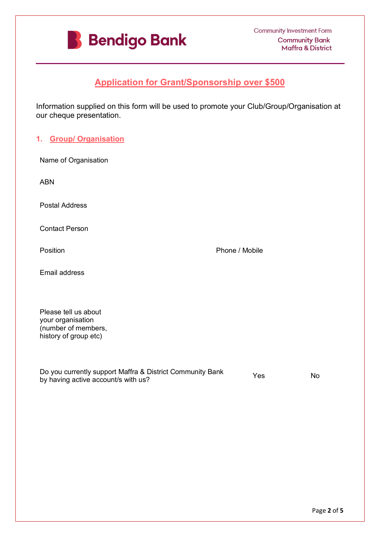

# **Application for Grant/Sponsorship over \$500**

Information supplied on this form will be used to promote your Club/Group/Organisation at our cheque presentation.

## **1. Group/ Organisation**

| Name of Organisation                                                                      |                                                           |                |           |
|-------------------------------------------------------------------------------------------|-----------------------------------------------------------|----------------|-----------|
| <b>ABN</b>                                                                                |                                                           |                |           |
| <b>Postal Address</b>                                                                     |                                                           |                |           |
| <b>Contact Person</b>                                                                     |                                                           |                |           |
| Position                                                                                  |                                                           | Phone / Mobile |           |
| Email address                                                                             |                                                           |                |           |
| Please tell us about<br>your organisation<br>(number of members,<br>history of group etc) |                                                           |                |           |
| by having active account/s with us?                                                       | Do you currently support Maffra & District Community Bank | Yes            | <b>No</b> |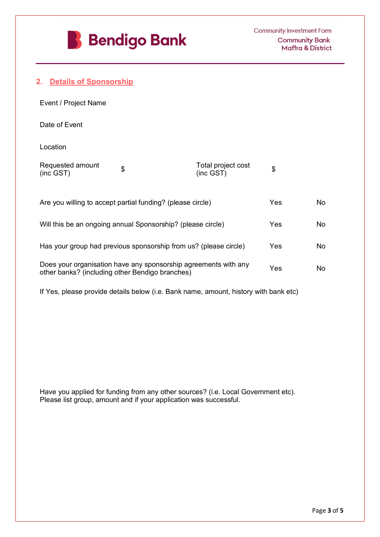

## **2. Details of Sponsorship**

| Event / Project Name          |                                 |  |
|-------------------------------|---------------------------------|--|
| Date of Event                 |                                 |  |
| Location                      |                                 |  |
| Requested amount<br>(inc GST) | Total project cost<br>(inc GST) |  |

| Are you willing to accept partial funding? (please circle)                                                         | Yes |  |
|--------------------------------------------------------------------------------------------------------------------|-----|--|
| Will this be an ongoing annual Sponsorship? (please circle)                                                        | Yes |  |
| Has your group had previous sponsorship from us? (please circle)                                                   | Yes |  |
| Does your organisation have any sponsorship agreements with any<br>other banks? (including other Bendigo branches) | Yes |  |

If Yes, please provide details below (i.e. Bank name, amount, history with bank etc)

Have you applied for funding from any other sources? (i.e. Local Government etc). Please list group, amount and if your application was successful.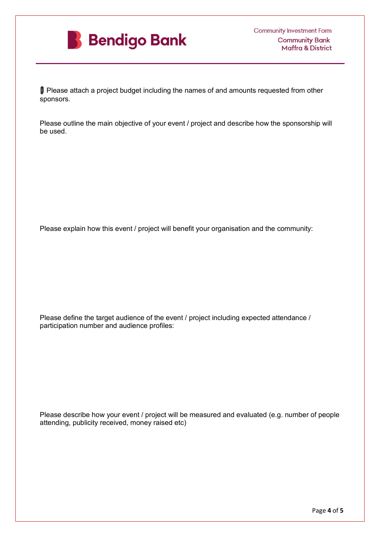

�� Please attach a project budget including the names of and amounts requested from other sponsors.

Please outline the main objective of your event / project and describe how the sponsorship will be used.

Please explain how this event / project will benefit your organisation and the community:

Please define the target audience of the event / project including expected attendance / participation number and audience profiles:

Please describe how your event / project will be measured and evaluated (e.g. number of people attending, publicity received, money raised etc)